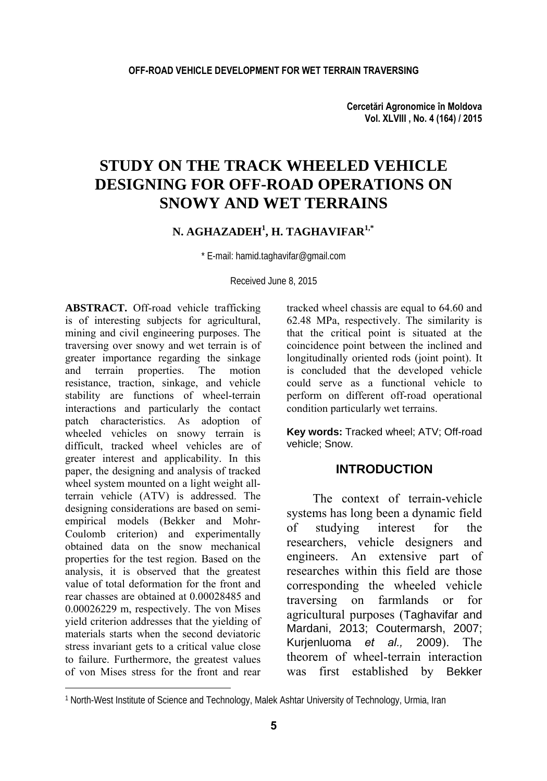**Cercetări Agronomice în Moldova Vol. XLVIII , No. 4 (164) / 2015** 

# **STUDY ON THE TRACK WHEELED VEHICLE DESIGNING FOR OFF-ROAD OPERATIONS ON SNOWY AND WET TERRAINS**

## **N. AGHAZADEH1 , H. TAGHAVIFAR1,\***

\* E-mail: hamid.taghavifar@gmail.com

Received June 8, 2015

**ABSTRACT.** Off-road vehicle trafficking is of interesting subjects for agricultural, mining and civil engineering purposes. The traversing over snowy and wet terrain is of greater importance regarding the sinkage and terrain properties. The motion resistance, traction, sinkage, and vehicle stability are functions of wheel-terrain interactions and particularly the contact patch characteristics. As adoption of wheeled vehicles on snowy terrain is difficult, tracked wheel vehicles are of greater interest and applicability. In this paper, the designing and analysis of tracked wheel system mounted on a light weight allterrain vehicle (ATV) is addressed. The designing considerations are based on semiempirical models (Bekker and Mohr-Coulomb criterion) and experimentally obtained data on the snow mechanical properties for the test region. Based on the analysis, it is observed that the greatest value of total deformation for the front and rear chasses are obtained at 0.00028485 and 0.00026229 m, respectively. The von Mises yield criterion addresses that the yielding of materials starts when the second deviatoric stress invariant gets to a critical value close to failure. Furthermore, the greatest values of von Mises stress for the front and rear

l

tracked wheel chassis are equal to 64.60 and 62.48 MPa, respectively. The similarity is that the critical point is situated at the coincidence point between the inclined and longitudinally oriented rods (joint point). It is concluded that the developed vehicle could serve as a functional vehicle to perform on different off-road operational condition particularly wet terrains.

**Key words:** Tracked wheel; ATV; Off-road vehicle; Snow.

## **INTRODUCTION**

The context of terrain-vehicle systems has long been a dynamic field of studying interest for the researchers, vehicle designers and engineers. An extensive part of researches within this field are those corresponding the wheeled vehicle traversing on farmlands or for agricultural purposes (Taghavifar and Mardani, 2013; Coutermarsh, 2007; Kurjenluoma *et al.,* 2009). The theorem of wheel-terrain interaction was first established by Bekker

<sup>1</sup> North-West Institute of Science and Technology, Malek Ashtar University of Technology, Urmia, Iran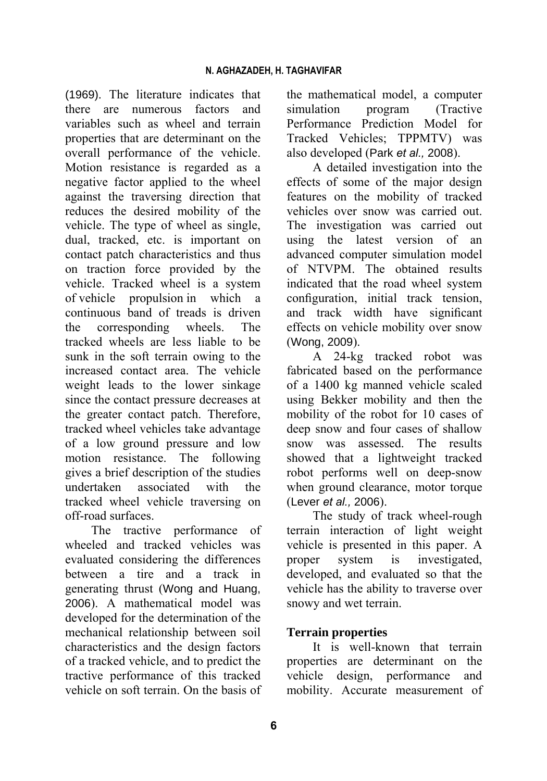(1969). The literature indicates that there are numerous factors and variables such as wheel and terrain properties that are determinant on the overall performance of the vehicle. Motion resistance is regarded as a negative factor applied to the wheel against the traversing direction that reduces the desired mobility of the vehicle. The type of wheel as single, dual, tracked, etc. is important on contact patch characteristics and thus on traction force provided by the vehicle. Tracked wheel is a system of vehicle propulsion in which a continuous band of treads is driven the corresponding wheels. The tracked wheels are less liable to be sunk in the soft terrain owing to the increased contact area. The vehicle weight leads to the lower sinkage since the contact pressure decreases at the greater contact patch. Therefore, tracked wheel vehicles take advantage of a low ground pressure and low motion resistance. The following gives a brief description of the studies undertaken associated with the tracked wheel vehicle traversing on off-road surfaces.

The tractive performance of wheeled and tracked vehicles was evaluated considering the differences between a tire and a track in generating thrust (Wong and Huang, 2006). A mathematical model was developed for the determination of the mechanical relationship between soil characteristics and the design factors of a tracked vehicle, and to predict the tractive performance of this tracked vehicle on soft terrain. On the basis of the mathematical model, a computer simulation program (Tractive Performance Prediction Model for Tracked Vehicles; TPPMTV) was also developed (Park *et al.,* 2008).

A detailed investigation into the effects of some of the major design features on the mobility of tracked vehicles over snow was carried out. The investigation was carried out using the latest version of an advanced computer simulation model of NTVPM. The obtained results indicated that the road wheel system configuration, initial track tension, and track width have significant effects on vehicle mobility over snow (Wong, 2009).

A 24-kg tracked robot was fabricated based on the performance of a 1400 kg manned vehicle scaled using Bekker mobility and then the mobility of the robot for 10 cases of deep snow and four cases of shallow snow was assessed. The results showed that a lightweight tracked robot performs well on deep-snow when ground clearance, motor torque (Lever *et al.,* 2006).

The study of track wheel-rough terrain interaction of light weight vehicle is presented in this paper. A proper system is investigated, developed, and evaluated so that the vehicle has the ability to traverse over snowy and wet terrain.

## **Terrain properties**

It is well-known that terrain properties are determinant on the vehicle design, performance and mobility. Accurate measurement of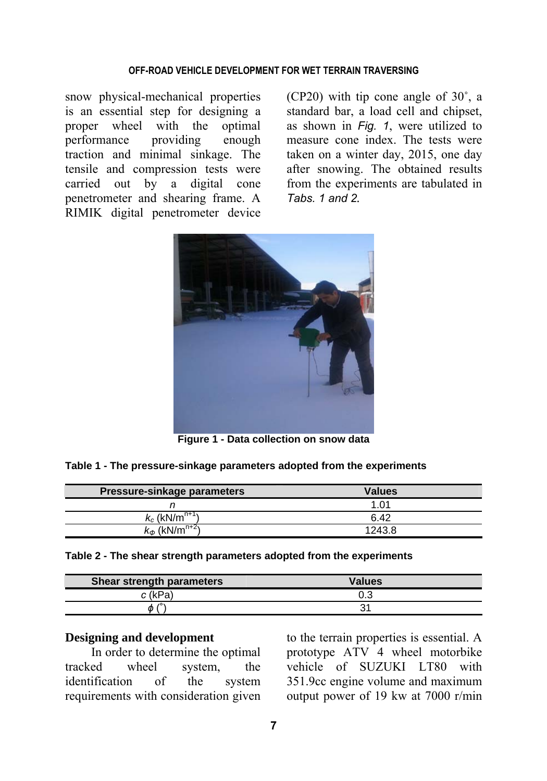#### **OFF-ROAD VEHICLE DEVELOPMENT FOR WET TERRAIN TRAVERSING**

snow physical-mechanical properties is an essential step for designing a proper wheel with the optimal performance providing enough traction and minimal sinkage. The tensile and compression tests were carried out by a digital cone penetrometer and shearing frame. A RIMIK digital penetrometer device

(CP20) with tip cone angle of 30˚, a standard bar, a load cell and chipset, as shown in *Fig. 1*, were utilized to measure cone index. The tests were taken on a winter day, 2015, one day after snowing. The obtained results from the experiments are tabulated in *Tabs. 1 and 2.* 



**Figure 1 - Data collection on snow data** 

|  |  |  |  |  | Table 1 - The pressure-sinkage parameters adopted from the experiments |
|--|--|--|--|--|------------------------------------------------------------------------|
|--|--|--|--|--|------------------------------------------------------------------------|

| Pressure-sinkage parameters       | <b>Values</b> |
|-----------------------------------|---------------|
|                                   | 1.01          |
| $k_c$ (kN/m <sup>n+1</sup> )      | 6.42          |
| $k_{\phi}$ (kN/m <sup>n+2</sup> ) | 1243.8        |

**Table 2 - The shear strength parameters adopted from the experiments** 

| Shear strength parameters  | <b>Values</b> |
|----------------------------|---------------|
| c (kPa)                    | 0.3           |
| $\prime$ <sup>o</sup><br>ወ |               |

#### **Designing and development**

In order to determine the optimal tracked wheel system, the identification of the system requirements with consideration given

to the terrain properties is essential. A prototype ATV 4 wheel motorbike vehicle of SUZUKI LT80 with 351.9cc engine volume and maximum output power of 19 kw at 7000 r/min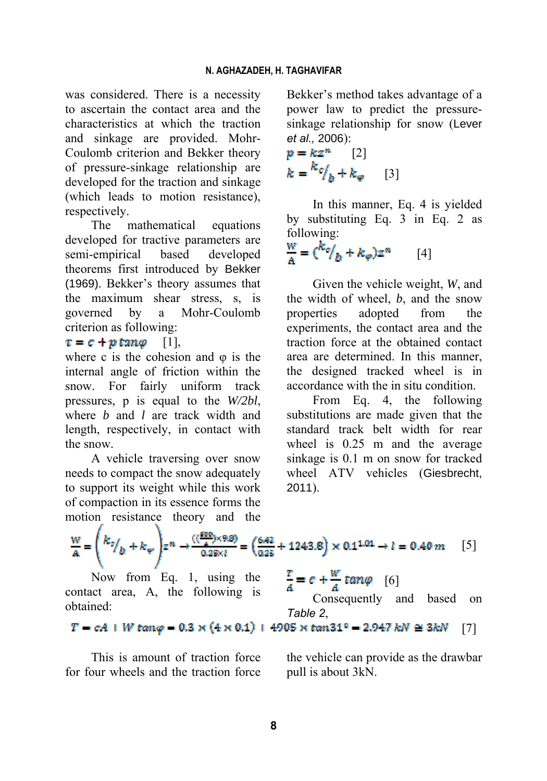was considered. There is a necessity to ascertain the contact area and the characteristics at which the traction and sinkage are provided. Mohr-Coulomb criterion and Bekker theory of pressure-sinkage relationship are developed for the traction and sinkage (which leads to motion resistance), respectively.

The mathematical equations developed for tractive parameters are semi-empirical based developed theorems first introduced by Bekker (1969). Bekker's theory assumes that the maximum shear stress, s, is governed by a Mohr-Coulomb criterion as following:

## $\tau = c + p \tan \varphi$  [1],

where c is the cohesion and  $\varphi$  is the internal angle of friction within the snow. For fairly uniform track pressures, p is equal to the *W/2bl*, where *b* and *l* are track width and length, respectively, in contact with the snow.

A vehicle traversing over snow needs to compact the snow adequately to support its weight while this work of compaction in its essence forms the motion resistance theory and the Bekker's method takes advantage of a power law to predict the pressuresinkage relationship for snow (Lever *et al.,* 2006):

$$
p = kz^{n} \qquad [2]
$$
  

$$
k = \frac{k_c}{b} + k_e \qquad [3]
$$

In this manner, Eq. 4 is yielded by substituting Eq. 3 in Eq. 2 as following:

$$
\frac{w}{A} = \left(\frac{k_o}{b} + k_\varphi\right)z^n \qquad [4]
$$

Given the vehicle weight, *W*, and the width of wheel, *b*, and the snow properties adopted from the experiments, the contact area and the traction force at the obtained contact area are determined. In this manner, the designed tracked wheel is in accordance with the in situ condition.

From Eq. 4, the following substitutions are made given that the standard track belt width for rear wheel is 0.25 m and the average sinkage is 0.1 m on snow for tracked wheel ATV vehicles (Giesbrecht, 2011).

$$
\frac{W}{A} = \left(\frac{k_0}{b} + k_w\right) z^n \to \frac{((\frac{500}{a}) \times 9.8)}{0.25 \times l} = \left(\frac{6.42}{0.25} + 1243.8\right) \times 0.1^{1.01} \to l = 0.40 m
$$
 [5]

Now from Eq. 1, using the contact area, A, the following is obtained:

 $\frac{r}{4} = c + \frac{w}{4} \tan \varphi$  [6]

Consequently and based on *Table 2*,

$$
T = cA + W \tan \varphi = 0.3 \times (4 \times 0.1) + 4905 \times \tan 31^{\circ} = 2.947 \text{ kN} \approx 3 \text{ kN} \quad [7]
$$

This is amount of traction force for four wheels and the traction force the vehicle can provide as the drawbar pull is about 3kN.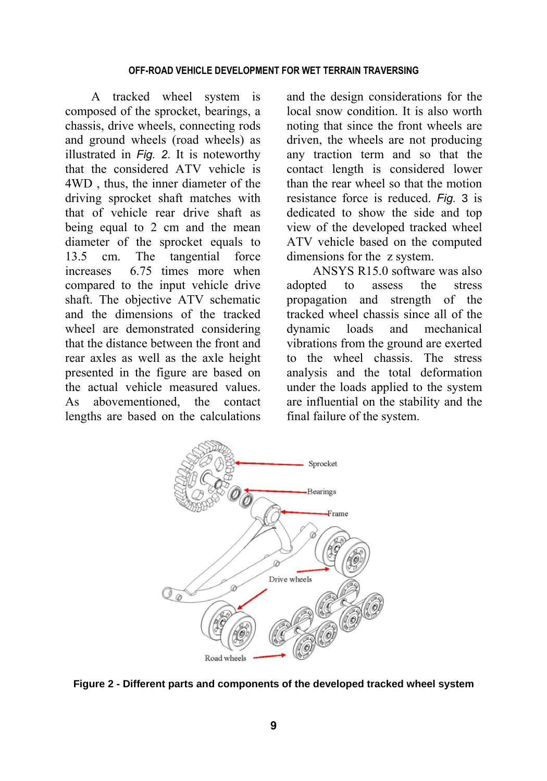#### **OFF-ROAD VEHICLE DEVELOPMENT FOR WET TERRAIN TRAVERSING**

A tracked wheel system is composed of the sprocket, bearings, a chassis, drive wheels, connecting rods and ground wheels (road wheels) as illustrated in *Fig. 2*. It is noteworthy that the considered ATV vehicle is 4WD , thus, the inner diameter of the driving sprocket shaft matches with that of vehicle rear drive shaft as being equal to 2 cm and the mean diameter of the sprocket equals to 13.5 cm. The tangential force increases 6.75 times more when compared to the input vehicle drive shaft. The objective ATV schematic and the dimensions of the tracked wheel are demonstrated considering that the distance between the front and rear axles as well as the axle height presented in the figure are based on the actual vehicle measured values. As abovementioned, the contact lengths are based on the calculations and the design considerations for the local snow condition. It is also worth noting that since the front wheels are driven, the wheels are not producing any traction term and so that the contact length is considered lower than the rear wheel so that the motion resistance force is reduced. *Fig.* 3 is dedicated to show the side and top view of the developed tracked wheel ATV vehicle based on the computed dimensions for the z system.

ANSYS R15.0 software was also adopted to assess the stress propagation and strength of the tracked wheel chassis since all of the dynamic loads and mechanical vibrations from the ground are exerted to the wheel chassis. The stress analysis and the total deformation under the loads applied to the system are influential on the stability and the final failure of the system.



**Figure 2 - Different parts and components of the developed tracked wheel system**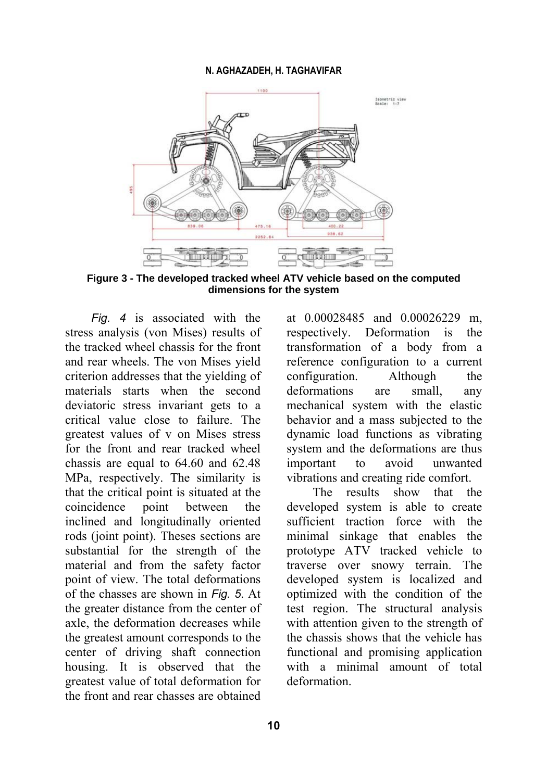#### **N. AGHAZADEH, H. TAGHAVIFAR**



**Figure 3 - The developed tracked wheel ATV vehicle based on the computed dimensions for the system**

*Fig. 4* is associated with the stress analysis (von Mises) results of the tracked wheel chassis for the front and rear wheels. The von Mises yield criterion addresses that the yielding of materials starts when the second deviatoric stress invariant gets to a critical value close to failure. The greatest values of v on Mises stress for the front and rear tracked wheel chassis are equal to 64.60 and 62.48 MPa, respectively. The similarity is that the critical point is situated at the coincidence point between the inclined and longitudinally oriented rods (joint point). Theses sections are substantial for the strength of the material and from the safety factor point of view. The total deformations of the chasses are shown in *Fig. 5*. At the greater distance from the center of axle, the deformation decreases while the greatest amount corresponds to the center of driving shaft connection housing. It is observed that the greatest value of total deformation for the front and rear chasses are obtained at 0.00028485 and 0.00026229 m, respectively. Deformation is the transformation of a body from a reference configuration to a current configuration. Although the deformations are small, any mechanical system with the elastic behavior and a mass subjected to the dynamic load functions as vibrating system and the deformations are thus important to avoid unwanted vibrations and creating ride comfort.

The results show that the developed system is able to create sufficient traction force with the minimal sinkage that enables the prototype ATV tracked vehicle to traverse over snowy terrain. The developed system is localized and optimized with the condition of the test region. The structural analysis with attention given to the strength of the chassis shows that the vehicle has functional and promising application with a minimal amount of total deformation.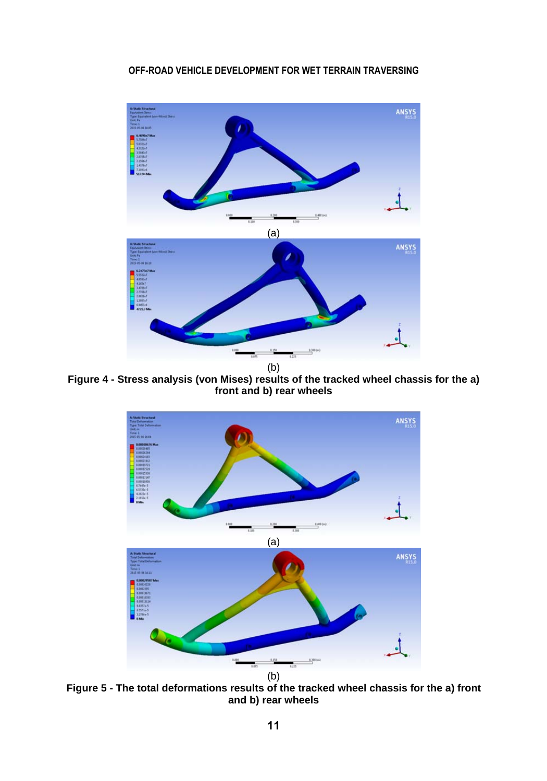## **OFF-ROAD VEHICLE DEVELOPMENT FOR WET TERRAIN TRAVERSING**



**Figure 4 - Stress analysis (von Mises) results of the tracked wheel chassis for the a) front and b) rear wheels** 



**Figure 5 - The total deformations results of the tracked wheel chassis for the a) front and b) rear wheels**